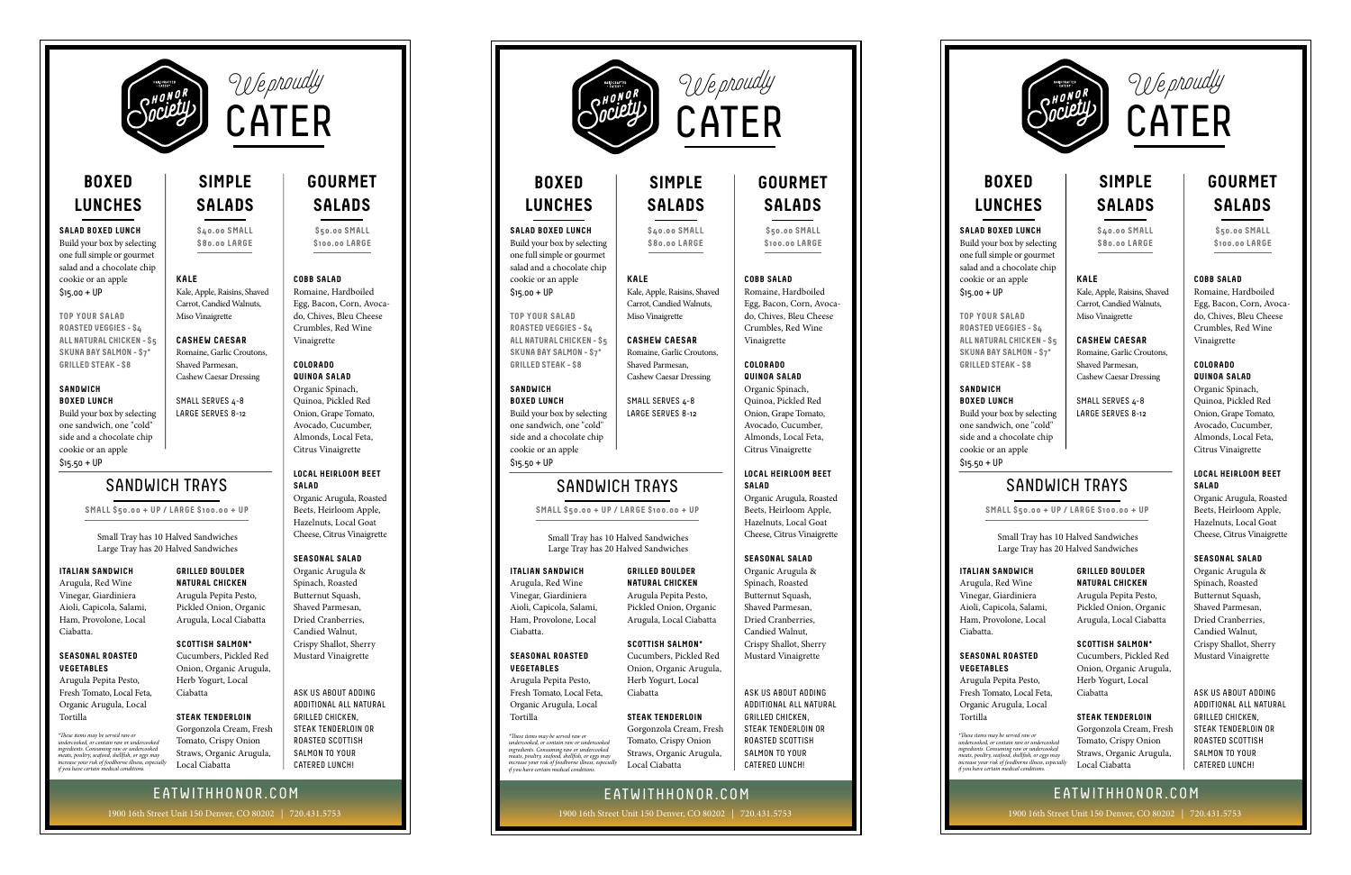

# **BOXED LUNCHES**

## **SALAD BOXED LUNCH**

Build your box by selecting one full simple or gourmet salad and a chocolate chip cookie or an apple \$15.00 + UP

**TOP YOUR SALAD ROASTED VEGGIES - \$4 ALL NATURAL CHICKEN - \$5 SKUNA BAY SALMON - \$7\* GRILLED STEAK - \$8**

## **SANDWICH BOXED LUNCH**

Build your box by selecting one sandwich, one "cold" side and a chocolate chip cookie or an apple \$15.50 + UP

# **SIMPLE SALADS**

CATER

We proudly

**\$40.00 SMALL \$80.00 LARGE**

# **KALE**

Kale, Apple, Raisins, Shaved Carrot, Candied Walnuts, Miso Vinaigrette

**CASHEW CAESAR** Romaine, Garlic Croutons, Shaved Parmesan, Cashew Caesar Dressing

SMALL SERVES 4-8 LARGE SERVES 8-12

# SANDWICH TRAYS

**SMALL \$50.00 + UP / LARGE \$100.00 + UP**

Small Tray has 10 Halved Sandwiches Large Tray has 20 Halved Sandwiches

# **ITALIAN SANDWICH**

Arugula, Red Wine Vinegar, Giardiniera Aioli, Capicola, Salami, Ham, Provolone, Local Ciabatta.

## **SEASONAL ROASTED VEGETABLES**

Arugula Pepita Pesto, Fresh Tomato, Local Feta, Organic Arugula, Local Tortilla

"These items may be served raw or<br>undercooked, or contain raw or undercooked<br>ingredients. Consuming raw or undercooked<br>meats, poultry, seafood, shellfish, or eggs may<br>increase your risk of foodborne illness, especially<br>if

### **GRILLED BOULDER NATURAL CHICKEN**

Arugula Pepita Pesto, Pickled Onion, Organic Arugula, Local Ciabatta

**SCOTTISH SALMON\*** Cucumbers, Pickled Red Onion, Organic Arugula, Herb Yogurt, Local Ciabatta

## **STEAK TENDERLOIN**

Gorgonzola Cream, Fresh Tomato, Crispy Onion Straws, Organic Arugula, Local Ciabatta

# **GOURMET SALADS**

**\$50.00 SMALL \$100.00 LARGE**

## **COBB SALAD**

Romaine, Hardboiled Egg, Bacon, Corn, Avocado, Chives, Bleu Cheese Crumbles, Red Wine Vinaigrette

### **COLORADO QUINOA SALAD**

Organic Spinach, Quinoa, Pickled Red Onion, Grape Tomato, Avocado, Cucumber, Almonds, Local Feta, Citrus Vinaigrette

# **LOCAL HEIRLOOM BEET SALAD**

Organic Arugula, Roasted Beets, Heirloom Apple, Hazelnuts, Local Goat Cheese, Citrus Vinaigrette

# **SEASONAL SALAD**

Organic Arugula & Spinach, Roasted Butternut Squash, Shaved Parmesan, Dried Cranberries, Candied Walnut, Crispy Shallot, Sherry Mustard Vinaigrette

ASK US ABOUT ADDING ADDITIONAL ALL NATURAL GRILLED CHICKEN, STEAK TENDERLOIN OR ROASTED SCOTTISH SALMON TO YOUR CATERED LUNCH!

EATWITHHONOR.COM 1900 16th Street Unit 150 Denver, CO 80202 | 720.431.5753